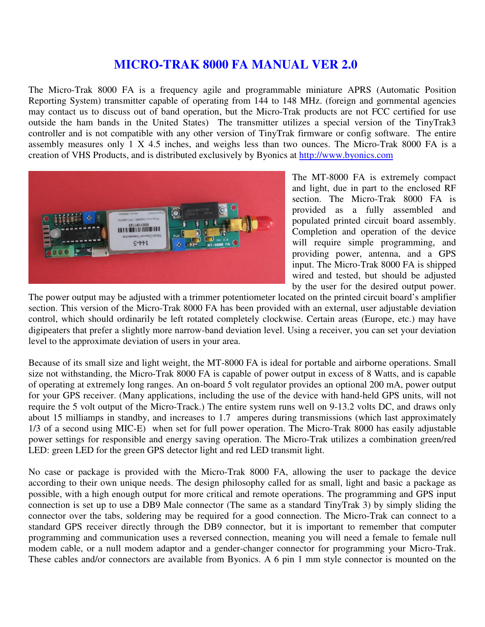# **MICRO-TRAK 8000 FA MANUAL VER 2.0**

The Micro-Trak 8000 FA is a frequency agile and programmable miniature APRS (Automatic Position Reporting System) transmitter capable of operating from 144 to 148 MHz. (foreign and gornmental agencies may contact us to discuss out of band operation, but the Micro-Trak products are not FCC certified for use outside the ham bands in the United States) The transmitter utilizes a special version of the TinyTrak3 controller and is not compatible with any other version of TinyTrak firmware or config software. The entire assembly measures only 1 X 4.5 inches, and weighs less than two ounces. The Micro-Trak 8000 FA is a creation of VHS Products, and is distributed exclusively by Byonics at http://www.byonics.com



The MT-8000 FA is extremely compact and light, due in part to the enclosed RF section. The Micro-Trak 8000 FA is provided as a fully assembled and populated printed circuit board assembly. Completion and operation of the device will require simple programming, and providing power, antenna, and a GPS input. The Micro-Trak 8000 FA is shipped wired and tested, but should be adjusted by the user for the desired output power.

The power output may be adjusted with a trimmer potentiometer located on the printed circuit board's amplifier section. This version of the Micro-Trak 8000 FA has been provided with an external, user adjustable deviation control, which should ordinarily be left rotated completely clockwise. Certain areas (Europe, etc.) may have digipeaters that prefer a slightly more narrow-band deviation level. Using a receiver, you can set your deviation level to the approximate deviation of users in your area.

Because of its small size and light weight, the MT-8000 FA is ideal for portable and airborne operations. Small size not withstanding, the Micro-Trak 8000 FA is capable of power output in excess of 8 Watts, and is capable of operating at extremely long ranges. An on-board 5 volt regulator provides an optional 200 mA, power output for your GPS receiver. (Many applications, including the use of the device with hand-held GPS units, will not require the 5 volt output of the Micro-Track.) The entire system runs well on 9-13.2 volts DC, and draws only about 15 milliamps in standby, and increases to 1.7 amperes during transmissions (which last approximately 1/3 of a second using MIC-E) when set for full power operation. The Micro-Trak 8000 has easily adjustable power settings for responsible and energy saving operation. The Micro-Trak utilizes a combination green/red LED: green LED for the green GPS detector light and red LED transmit light.

No case or package is provided with the Micro-Trak 8000 FA, allowing the user to package the device according to their own unique needs. The design philosophy called for as small, light and basic a package as possible, with a high enough output for more critical and remote operations. The programming and GPS input connection is set up to use a DB9 Male connector (The same as a standard TinyTrak 3) by simply sliding the connector over the tabs, soldering may be required for a good connection. The Micro-Trak can connect to a standard GPS receiver directly through the DB9 connector, but it is important to remember that computer programming and communication uses a reversed connection, meaning you will need a female to female null modem cable, or a null modem adaptor and a gender-changer connector for programming your Micro-Trak. These cables and/or connectors are available from Byonics. A 6 pin 1 mm style connector is mounted on the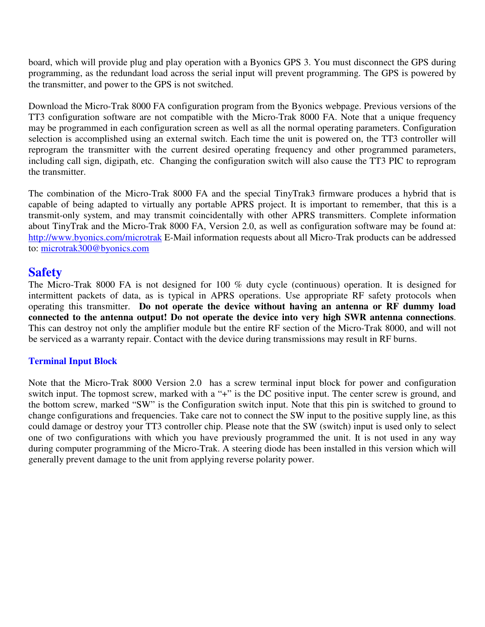board, which will provide plug and play operation with a Byonics GPS 3. You must disconnect the GPS during programming, as the redundant load across the serial input will prevent programming. The GPS is powered by the transmitter, and power to the GPS is not switched.

Download the Micro-Trak 8000 FA configuration program from the Byonics webpage. Previous versions of the TT3 configuration software are not compatible with the Micro-Trak 8000 FA. Note that a unique frequency may be programmed in each configuration screen as well as all the normal operating parameters. Configuration selection is accomplished using an external switch. Each time the unit is powered on, the TT3 controller will reprogram the transmitter with the current desired operating frequency and other programmed parameters, including call sign, digipath, etc. Changing the configuration switch will also cause the TT3 PIC to reprogram the transmitter.

The combination of the Micro-Trak 8000 FA and the special TinyTrak3 firmware produces a hybrid that is capable of being adapted to virtually any portable APRS project. It is important to remember, that this is a transmit-only system, and may transmit coincidentally with other APRS transmitters. Complete information about TinyTrak and the Micro-Trak 8000 FA, Version 2.0, as well as configuration software may be found at: http://www.byonics.com/microtrak E-Mail information requests about all Micro-Trak products can be addressed to: microtrak300@byonics.com

# **Safety**

The Micro-Trak 8000 FA is not designed for 100 % duty cycle (continuous) operation. It is designed for intermittent packets of data, as is typical in APRS operations. Use appropriate RF safety protocols when operating this transmitter. **Do not operate the device without having an antenna or RF dummy load connected to the antenna output! Do not operate the device into very high SWR antenna connections**. This can destroy not only the amplifier module but the entire RF section of the Micro-Trak 8000, and will not be serviced as a warranty repair. Contact with the device during transmissions may result in RF burns.

# **Terminal Input Block**

Note that the Micro-Trak 8000 Version 2.0 has a screw terminal input block for power and configuration switch input. The topmost screw, marked with a "+" is the DC positive input. The center screw is ground, and the bottom screw, marked "SW" is the Configuration switch input. Note that this pin is switched to ground to change configurations and frequencies. Take care not to connect the SW input to the positive supply line, as this could damage or destroy your TT3 controller chip. Please note that the SW (switch) input is used only to select one of two configurations with which you have previously programmed the unit. It is not used in any way during computer programming of the Micro-Trak. A steering diode has been installed in this version which will generally prevent damage to the unit from applying reverse polarity power.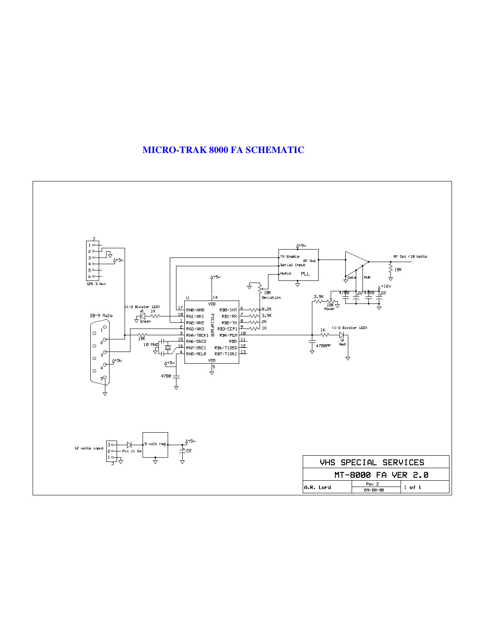## **MICRO-TRAK 8000 FA SCHEMATIC**

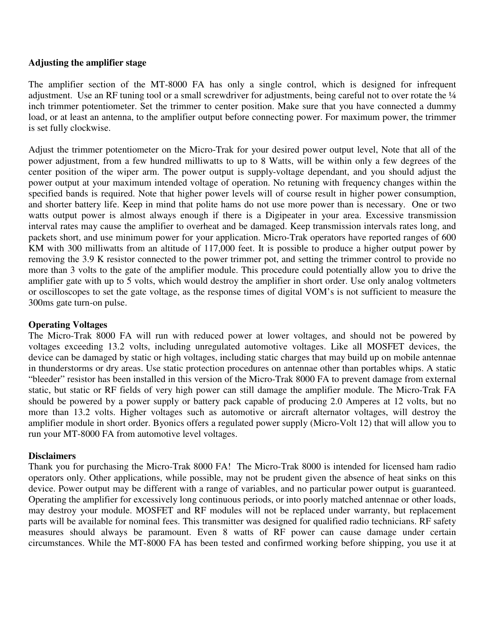#### **Adjusting the amplifier stage**

The amplifier section of the MT-8000 FA has only a single control, which is designed for infrequent adjustment. Use an RF tuning tool or a small screwdriver for adjustments, being careful not to over rotate the  $\frac{1}{4}$ inch trimmer potentiometer. Set the trimmer to center position. Make sure that you have connected a dummy load, or at least an antenna, to the amplifier output before connecting power. For maximum power, the trimmer is set fully clockwise.

Adjust the trimmer potentiometer on the Micro-Trak for your desired power output level, Note that all of the power adjustment, from a few hundred milliwatts to up to 8 Watts, will be within only a few degrees of the center position of the wiper arm. The power output is supply-voltage dependant, and you should adjust the power output at your maximum intended voltage of operation. No retuning with frequency changes within the specified bands is required. Note that higher power levels will of course result in higher power consumption, and shorter battery life. Keep in mind that polite hams do not use more power than is necessary. One or two watts output power is almost always enough if there is a Digipeater in your area. Excessive transmission interval rates may cause the amplifier to overheat and be damaged. Keep transmission intervals rates long, and packets short, and use minimum power for your application. Micro-Trak operators have reported ranges of 600 KM with 300 milliwatts from an altitude of 117,000 feet. It is possible to produce a higher output power by removing the 3.9 K resistor connected to the power trimmer pot, and setting the trimmer control to provide no more than 3 volts to the gate of the amplifier module. This procedure could potentially allow you to drive the amplifier gate with up to 5 volts, which would destroy the amplifier in short order. Use only analog voltmeters or oscilloscopes to set the gate voltage, as the response times of digital VOM's is not sufficient to measure the 300ms gate turn-on pulse.

#### **Operating Voltages**

The Micro-Trak 8000 FA will run with reduced power at lower voltages, and should not be powered by voltages exceeding 13.2 volts, including unregulated automotive voltages. Like all MOSFET devices, the device can be damaged by static or high voltages, including static charges that may build up on mobile antennae in thunderstorms or dry areas. Use static protection procedures on antennae other than portables whips. A static "bleeder" resistor has been installed in this version of the Micro-Trak 8000 FA to prevent damage from external static, but static or RF fields of very high power can still damage the amplifier module. The Micro-Trak FA should be powered by a power supply or battery pack capable of producing 2.0 Amperes at 12 volts, but no more than 13.2 volts. Higher voltages such as automotive or aircraft alternator voltages, will destroy the amplifier module in short order. Byonics offers a regulated power supply (Micro-Volt 12) that will allow you to run your MT-8000 FA from automotive level voltages.

#### **Disclaimers**

Thank you for purchasing the Micro-Trak 8000 FA! The Micro-Trak 8000 is intended for licensed ham radio operators only. Other applications, while possible, may not be prudent given the absence of heat sinks on this device. Power output may be different with a range of variables, and no particular power output is guaranteed. Operating the amplifier for excessively long continuous periods, or into poorly matched antennae or other loads, may destroy your module. MOSFET and RF modules will not be replaced under warranty, but replacement parts will be available for nominal fees. This transmitter was designed for qualified radio technicians. RF safety measures should always be paramount. Even 8 watts of RF power can cause damage under certain circumstances. While the MT-8000 FA has been tested and confirmed working before shipping, you use it at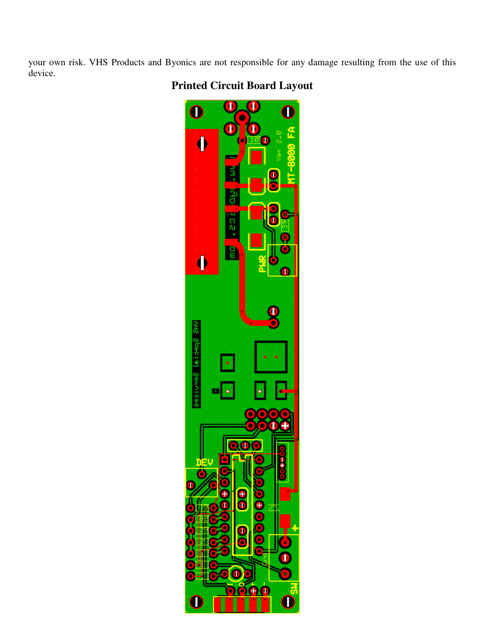your own risk. VHS Products and Byonics are not responsible for any damage resulting from the use of this device.

# **Printed Circuit Board Layout**

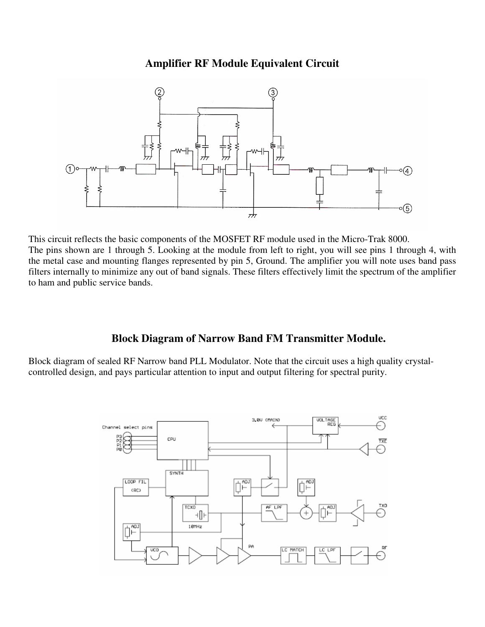# **Amplifier RF Module Equivalent Circuit**



This circuit reflects the basic components of the MOSFET RF module used in the Micro-Trak 8000. The pins shown are 1 through 5. Looking at the module from left to right, you will see pins 1 through 4, with the metal case and mounting flanges represented by pin 5, Ground. The amplifier you will note uses band pass filters internally to minimize any out of band signals. These filters effectively limit the spectrum of the amplifier to ham and public service bands.

# **Block Diagram of Narrow Band FM Transmitter Module.**

Block diagram of sealed RF Narrow band PLL Modulator. Note that the circuit uses a high quality crystalcontrolled design, and pays particular attention to input and output filtering for spectral purity.

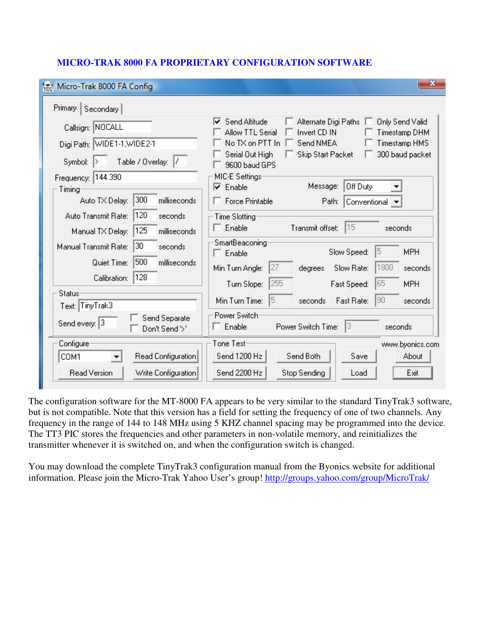| Micro-Trak 8000 FA Config                                                    | x                                                                                                                                              |
|------------------------------------------------------------------------------|------------------------------------------------------------------------------------------------------------------------------------------------|
| Primary  <br>Secondary                                                       |                                                                                                                                                |
| Callsign: NOCALL                                                             | Send Altitude<br>Alternate Digi Paths<br><b>Only Send Valid</b><br>⊽<br>Allow TTL Serial<br>Invert CD IN<br><b>Timestamp DHM</b>               |
| Digi Path: WIDE1-1, WIDE2-1                                                  | No TX on PTT In<br>Send NMEA<br>Timestamp HMS                                                                                                  |
| Table / Overlay: /<br>Symbol:                                                | Serial Out High<br><b>Skip Start Packet</b><br>300 baud packet<br>9600 baud GPS                                                                |
| Frequency: 144.390                                                           | MIC-E Settings:                                                                                                                                |
| Timing                                                                       | Message:<br>Off Duty<br>⊽<br>Enable                                                                                                            |
| 300<br>Auto TX Delay:<br>milliseconds                                        | $\Box$ Force Printable<br>Path:<br>Conventional v                                                                                              |
| 120<br>Auto Transmit Rate:<br>seconds                                        | <b>Time Slotting</b>                                                                                                                           |
| 125<br>Manual TX Delay:<br>milliseconds                                      | 15<br>$\Box$ Enable<br>Transmit offset:<br>seconds                                                                                             |
| 30<br>Manual Transmit Rate:<br>seconds<br>500<br>Quiet Time:<br>milliseconds | <b>SmartBeaconing</b><br><b>MPH</b><br>Slow Speed:<br>15<br>$\Box$ Enable<br>1800<br>27<br>Min Turn Angle:<br>Slow Rate:<br>degrees<br>seconds |
| 128<br>Calibration:                                                          | 255<br>65<br>Turn Slope:<br><b>MPH</b><br>Fast Speed:                                                                                          |
| <b>Status</b><br>Text: TinyTrak3                                             | Min Turn Time:<br>Fast Rate:<br>90<br>15<br>seconds<br>seconds                                                                                 |
| Send Separate<br>Send every: 3<br>Don't Send'>'                              | Power Switch<br>$\Box$ Enable<br>13<br>Power Switch Time:<br>seconds                                                                           |
| Configure                                                                    | Tone Test<br>www.byonics.com                                                                                                                   |
| Read Configuration<br>COM1                                                   | Send 1200 Hz<br>Send Both<br>Save<br>About                                                                                                     |
| <b>Read Version</b><br>Write Configuration                                   | Send 2200 Hz<br>Exit<br>Stop Sending<br>Load                                                                                                   |

## **MICRO-TRAK 8000 FA PROPRIETARY CONFIGURATION SOFTWARE**

The configuration software for the MT-8000 FA appears to be very similar to the standard TinyTrak3 software, but is not compatible. Note that this version has a field for setting the frequency of one of two channels. Any frequency in the range of 144 to 148 MHz using 5 KHZ channel spacing may be programmed into the device. The TT3 PIC stores the frequencies and other parameters in non-volatile memory, and reinitializes the transmitter whenever it is switched on, and when the configuration switch is changed.

You may download the complete TinyTrak3 configuration manual from the Byonics website for additional information. Please join the Micro-Trak Yahoo User's group! http://groups.yahoo.com/group/MicroTrak/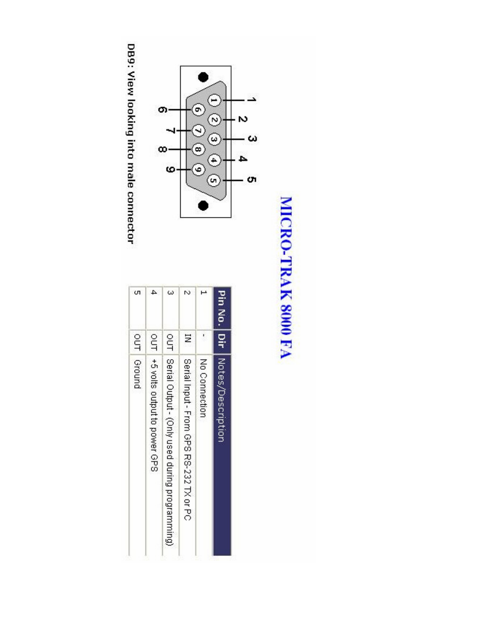# MICRO-TRAK 8000 FA



DB9: View looking into male connector

| Pin No.   Dir   Notes/Oescription |                                                    |
|-----------------------------------|----------------------------------------------------|
|                                   |                                                    |
| Ν                                 | Ξ                                                  |
| ω                                 | our Serial Output - (Only used during programming) |
| 4                                 | OUT   +5 volts output to power GPS                 |
| òп                                | our   Ground                                       |